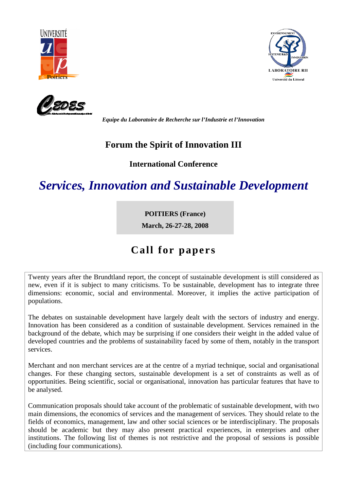





*Equipe du Laboratoire de Recherche sur l'Industrie et l'Innovation*

### **Forum the Spirit of Innovation III**

#### **International Conference**

# *Services, Innovation and Sustainable Development*

#### **POITIERS (France)**

**March, 26-27-28, 2008** 

## **Call for papers**

Twenty years after the Brundtland report, the concept of sustainable development is still considered as new, even if it is subject to many criticisms. To be sustainable, development has to integrate three dimensions: economic, social and environmental. Moreover, it implies the active participation of populations.

The debates on sustainable development have largely dealt with the sectors of industry and energy. Innovation has been considered as a condition of sustainable development. Services remained in the background of the debate, which may be surprising if one considers their weight in the added value of developed countries and the problems of sustainability faced by some of them, notably in the transport services.

Merchant and non merchant services are at the centre of a myriad technique, social and organisational changes. For these changing sectors, sustainable development is a set of constraints as well as of opportunities. Being scientific, social or organisational, innovation has particular features that have to be analysed.

Communication proposals should take account of the problematic of sustainable development, with two main dimensions, the economics of services and the management of services. They should relate to the fields of economics, management, law and other social sciences or be interdisciplinary. The proposals should be academic but they may also present practical experiences, in enterprises and other institutions. The following list of themes is not restrictive and the proposal of sessions is possible (including four communications).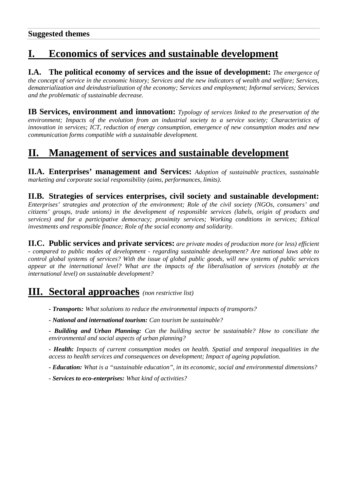## **I. Economics of services and sustainable development**

**I.A. The political economy of services and the issue of development:** *The emergence of the concept of service in the economic history; Services and the new indicators of wealth and welfare; Services, dematerialization and deindustrialization of the economy; Services and employment; Informal services; Services and the problematic of sustainable decrease.*

**IB Services, environment and innovation:** *Typology of services linked to the preservation of the environment; Impacts of the evolution from an industrial society to a service society; Characteristics of innovation in services; ICT, reduction of energy consumption, emergence of new consumption modes and new communication forms compatible with a sustainable development.*

### **II. Management of services and sustainable development**

**II.A. Enterprises' management and Services:** *Adoption of sustainable practices, sustainable marketing and corporate social responsibility (aims, performances, limits).*

**II.B. Strategies of services enterprises, civil society and sustainable development:**

*Enterprises' strategies and protection of the environment; Role of the civil society (NGOs, consumers' and citizens' groups, trade unions) in the development of responsible services (labels, origin of products and services) and for a participative democracy; proximity services; Working conditions in services; Ethical investments and responsible finance; Role of the social economy and solidarity.*

**II.C. Public services and private services:** *are private modes of production more (or less) efficient - compared to public modes of development - regarding sustainable development? Are national laws able to control global systems of services? With the issue of global public goods, will new systems of public services appear at the international level? What are the impacts of the liberalisation of services (notably at the international level) on sustainable development?* 

### **III. Sectoral approaches** *(non restrictive list)*

*- Transports: What solutions to reduce the environmental impacts of transports?*

*- National and international tourism: Can tourism be sustainable?*

*- Building and Urban Planning: Can the building sector be sustainable? How to conciliate the environmental and social aspects of urban planning?*

*- Health: Impacts of current consumption modes on health. Spatial and temporal inequalities in the access to health services and consequences on development; Impact of ageing population.*

*- Education: What is a "sustainable education", in its economic, social and environmental dimensions?*

*- Services to eco-enterprises: What kind of activities?*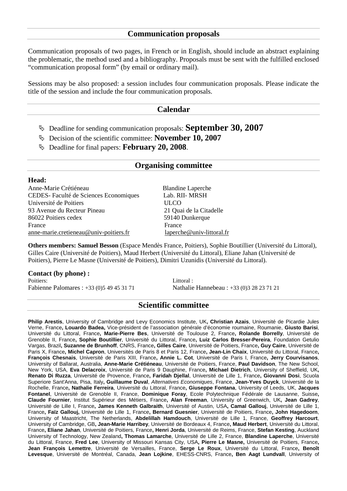Communication proposals of two pages, in French or in English, should include an abstract explaining the problematic, the method used and a bibliography. Proposals must be sent with the fulfilled enclosed "communication proposal form" (by email or ordinary mail).

Sessions may be also proposed: a session includes four communication proposals. Please indicate the title of the session and include the four communication proposals.

#### **Calendar**

- Deadline for sending communication proposals: **September 30, 2007**
- Decision of the scientific committee: **November 10, 2007**
- Deadline for final papers: **February 20, 2008**.

#### **Organising committee**

#### **Head:**

Anne-Marie Crétiéneau Blandine Laperche CEDES- Faculté de Sciences Economiques Lab. RII- MRSH Université de Poitiers ULCO 93 Avenue du Recteur Pineau 21 Quai de la Citadelle 86022 Poitiers cedex 59140 Dunkerque France France **France** anne-marie.cretieneau@univ-poitiers.fr laperche@univ-littoral.fr

**Others members: Samuel Besson** (Espace Mendès France, Poitiers), Sophie Boutillier (Université du Littoral), Gilles Caire (Université de Poitiers), Maud Herbert (Université du Littoral), Eliane Jahan (Université de Poitiers), Pierre Le Masne (Université de Poitiers), Dimitri Uzunidis (Université du Littoral).

# **Contact (by phone) :**<br>Poitiers:

Poitiers: Littoral :

Fabienne Palomares : +33 (0)5 49 45 31 71 Nathalie Hannebeau : +33 (0)3 28 23 71 21

#### **Scientific committee**

**Philip Arestis**, University of Cambridge and Levy Economics Institute, UK**, Christian Azais**, Université de Picardie Jules Verne, France**, Louardo Badea,** Vice-président de l'association générale d'économie roumaine, Roumanie, **Giusto Barisi**, Université du Littoral, France**, Marie-Pierre Bes**, Université de Toulouse 2, France**, Rolande Borrelly**, Université de Grenoble II, France**, Sophie Boutillier**, Université du Littoral, France**, Luiz Carlos Bresser-Pereira**, Foundation Getulio Vargas, Brazil**, Suzanne de Brunhoff**, CNRS, France**, Gilles Caire**, Université de Poitiers, France**, Guy Caire**, Université de Paris X, France**, Michel Capron**, Universités de Paris 8 et Paris 12, France**, Jean-Lin Chaix**, Université du Littoral, France**, François Chesnais**, Université de Paris XIII, France**, Annie L. Cot**, Université de Paris I, France**, Jerry Courvisanos**, University of Ballarat, Australia, **Anne-Marie Crétiéneau**, Université de Poitiers, France, **Paul Davidson**, The New School, New York, USA, **Eva Delacroix**, Université de Paris 9 Dauphine, France**, Michael Dietrich**, University of Sheffield, UK**, Renato Di Ruzza**, Université de Provence, France**, Faridah Djellal**, Université de Lille 1, France**, Giovanni Dosi**, Scuola Superiore Sant'Anna, Pisa, Italy**, Guillaume Duval**, Alternatives Economiques, France, **Jean-Yves Duyck**, Université de la Rochelle, France**, Nathalie Ferreira**, Université du Littoral, France**, Giuseppe Fontana**, University of Leeds, UK, **Jacques Fontanel**, Université de Grenoble II, France, **Dominique Foray**, Ecole Polytechnique Fédérale de Lausanne, Suisse**, Claude Fournier**, Institut Supérieur des Métiers, France**, Alan Freeman**, University of Greenwich, UK**, Jean Gadrey**, Université de Lille I, France**, James Kenneth Galbraith**, Université of Austin, USA**, Camal Gallouj**, Université de Lille 1, France**, Faïz Gallouj,** Université de Lille 1, France**, Bernard Guesnier**, Université de Poitiers, France**, John Hagedoorn**, University of Maastricht, The Netherlands, **Abdelillah Hamdouch**, Université de Lille 1, France, **Geoffrey Harcourt**, University of Cambridge, GB**, Jean-Marie Harribey**, Université de Bordeaux 4, France**, Maud Herbert**, Université du Littoral, France**, Eliane Jahan**, Université de Poitiers, France**, Henri Jorda**, Université de Reims, France, **Stefan Kesting**, Auckland University of Technology, New Zealand**, Thomas Lamarche**, Université de Lille 2, France, **Blandine Laperche**, Université du Littoral, France, **Fred Lee**, University of Missouri Kansas City, USA**, Pierre Le Masne,** Université de Poitiers, France**, Jean François Lemettre**, Université de Versailles, France, **Serge Le Roux**, Université du Littoral, France**, Benoît Levesque**, Université de Montréal, Canada, **Jean Lojkine**, EHESS-CNRS, France**, Ben Aagt Lundvall**, University of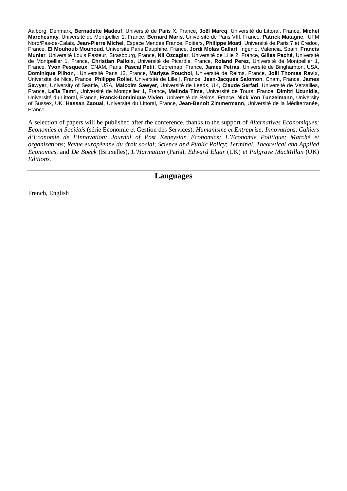Aalborg, Denmark**, Bernadette Madeuf**, Université de Paris X, France**, Joël Marcq**, Université du Littoral, France**, Michel Marchesnay**, Université de Montpellier 1, France, **Bernard Maris**, Université de Paris VIII, France, **Patrick Matagne**, IUFM Nord/Pas-de-Calais, **Jean-Pierre Michel**, Espace Mendès France, Poitiers, **Philippe Moati**, Université de Paris 7 et Credoc, France, **El Mouhoub Mouhoud**, Université Paris Dauphine, France, **Jordi Molas Gallart**, Ingenio, Valencia, Spain, **Francis Munier**, Université Louis Pasteur, Strasbourg, France, **Nil Ozcaglar**, Université de Lille 2, France, **Gilles Paché**, Université de Montpellier 1, France, **Christian Palloix**, Université de Picardie, France, **Roland Perez**, Université de Montpellier 1, France, **Yvon Pesqueux**, CNAM, Paris, **Pascal Petit**, Cepremap, France, **James Petras**, Université de Binghamton, USA, **Dominique Plihon**, Université Paris 13, France, **Marlyse Pouchol**, Université de Reims, France, **Joël Thomas Ravix**, Université de Nice, France, **Philippe Rollet**, Université de Lille I, France, **Jean-Jacques Salomon**, Cnam, France, **James Sawyer**, University of Seattle, USA, **Malcolm Sawyer**, Université de Leeds, UK, **Claude Serfati**, Université de Versailles, France, **Leïla Temri**, Université de Montpellier 1, France, **Melinda Tims**, Université de Tours, France, **Dimitri Uzunidis**, Université du Littoral, France, **Franck-Dominique Vivien**, Université de Reims, France, **Nick Von Tunzelmann**, University of Sussex, UK, **Hassan Zaoual**, Université du Littoral, France, **Jean-Benoît Zimmermann**, Université de la Méditerranée, France.

A selection of papers will be published after the conference, thanks to the support of *Alternatives Economiques; Economies et Sociétés* (série Economie et Gestion des Services); *Humanisme et Entreprise; Innovations, Cahiers d'Economie de l'Innovation; Journal of Post Keneysian Economics; L'Economie Politique; Marché et organisations*; *Revue européenne du droit social*; *Science and Public Policy*; *Terminal*, *Theoretical and Applied Economics*, and *De Boeck* (Bruxelles)*, L'Harmattan* (Paris)*, Edward Elgar* (UK) *et Palgrave MacMillan* (UK) *Editions.* 

**Languages** 

French, English